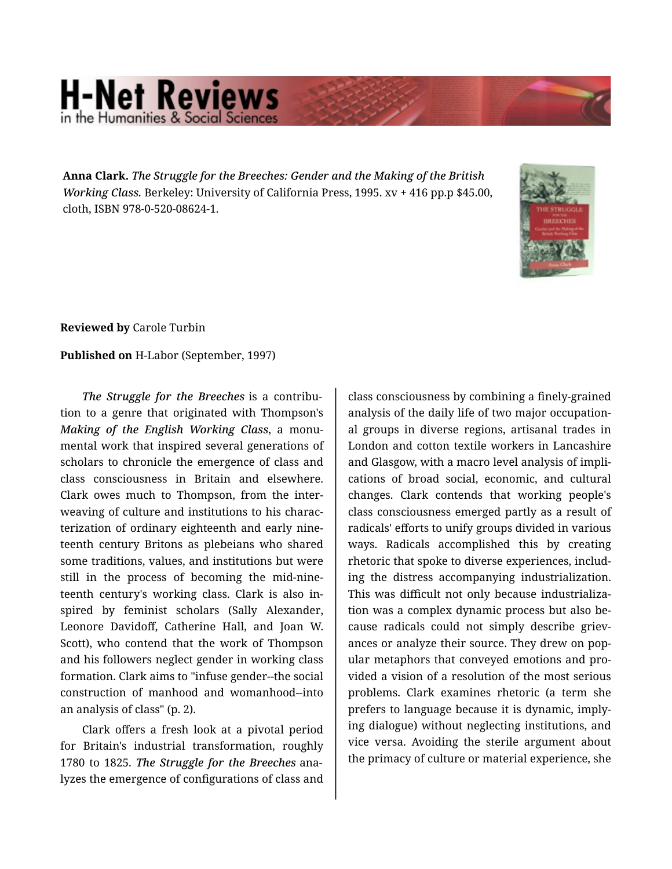## **H-Net Reviews** in the Humanities & Social S

**Anna Clark.** *The Struggle for the Breeches: Gender and the Making of the British Working Class.* Berkeley: University of California Press, 1995. xv + 416 pp.p \$45.00, cloth, ISBN 978-0-520-08624-1.



**Reviewed by** Carole Turbin

**Published on** H-Labor (September, 1997)

*The Struggle for the Breeches* is a contribu‐ tion to a genre that originated with Thompson's *Making of the English Working Class*, a monu‐ mental work that inspired several generations of scholars to chronicle the emergence of class and class consciousness in Britain and elsewhere. Clark owes much to Thompson, from the inter‐ weaving of culture and institutions to his charac‐ terization of ordinary eighteenth and early nine‐ teenth century Britons as plebeians who shared some traditions, values, and institutions but were still in the process of becoming the mid-nine‐ teenth century's working class. Clark is also in‐ spired by feminist scholars (Sally Alexander, Leonore Davidoff, Catherine Hall, and Joan W. Scott), who contend that the work of Thompson and his followers neglect gender in working class formation. Clark aims to "infuse gender--the social construction of manhood and womanhood--into an analysis of class" (p. 2).

Clark offers a fresh look at a pivotal period for Britain's industrial transformation, roughly 1780 to 1825. *The Struggle for the Breeches* ana‐ lyzes the emergence of configurations of class and

class consciousness by combining a finely-grained analysis of the daily life of two major occupation‐ al groups in diverse regions, artisanal trades in London and cotton textile workers in Lancashire and Glasgow, with a macro level analysis of impli‐ cations of broad social, economic, and cultural changes. Clark contends that working people's class consciousness emerged partly as a result of radicals' efforts to unify groups divided in various ways. Radicals accomplished this by creating rhetoric that spoke to diverse experiences, includ‐ ing the distress accompanying industrialization. This was difficult not only because industrializa‐ tion was a complex dynamic process but also be‐ cause radicals could not simply describe grievances or analyze their source. They drew on pop‐ ular metaphors that conveyed emotions and pro‐ vided a vision of a resolution of the most serious problems. Clark examines rhetoric (a term she prefers to language because it is dynamic, imply‐ ing dialogue) without neglecting institutions, and vice versa. Avoiding the sterile argument about the primacy of culture or material experience, she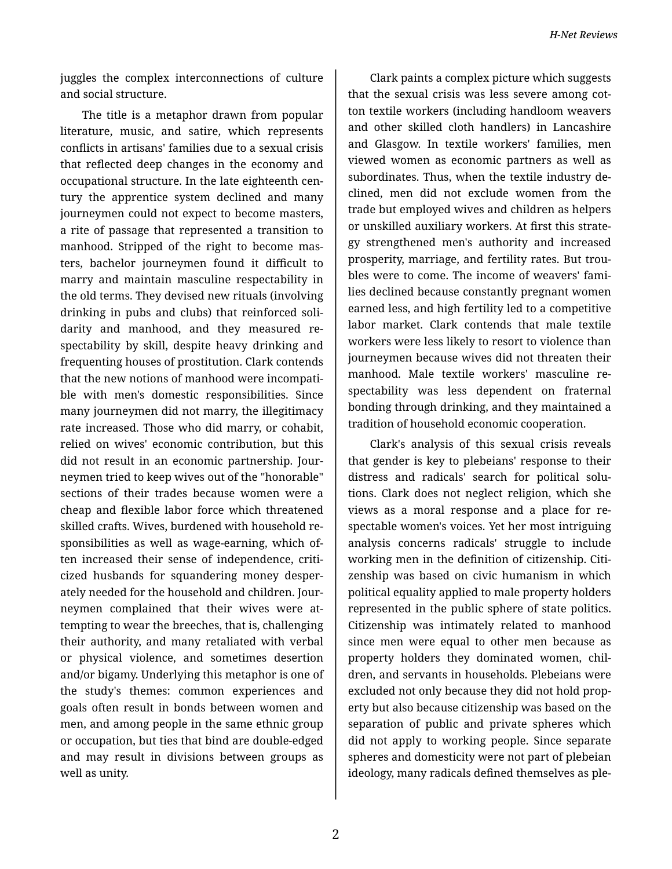juggles the complex interconnections of culture and social structure.

The title is a metaphor drawn from popular literature, music, and satire, which represents conflicts in artisans' families due to a sexual crisis that reflected deep changes in the economy and occupational structure. In the late eighteenth cen‐ tury the apprentice system declined and many journeymen could not expect to become masters, a rite of passage that represented a transition to manhood. Stripped of the right to become mas‐ ters, bachelor journeymen found it difficult to marry and maintain masculine respectability in the old terms. They devised new rituals (involving drinking in pubs and clubs) that reinforced soli‐ darity and manhood, and they measured re‐ spectability by skill, despite heavy drinking and frequenting houses of prostitution. Clark contends that the new notions of manhood were incompati‐ ble with men's domestic responsibilities. Since many journeymen did not marry, the illegitimacy rate increased. Those who did marry, or cohabit, relied on wives' economic contribution, but this did not result in an economic partnership. Jour‐ neymen tried to keep wives out of the "honorable" sections of their trades because women were a cheap and flexible labor force which threatened skilled crafts. Wives, burdened with household re‐ sponsibilities as well as wage-earning, which of‐ ten increased their sense of independence, criti‐ cized husbands for squandering money desper‐ ately needed for the household and children. Jour‐ neymen complained that their wives were at‐ tempting to wear the breeches, that is, challenging their authority, and many retaliated with verbal or physical violence, and sometimes desertion and/or bigamy. Underlying this metaphor is one of the study's themes: common experiences and goals often result in bonds between women and men, and among people in the same ethnic group or occupation, but ties that bind are double-edged and may result in divisions between groups as well as unity.

Clark paints a complex picture which suggests that the sexual crisis was less severe among cot‐ ton textile workers (including handloom weavers and other skilled cloth handlers) in Lancashire and Glasgow. In textile workers' families, men viewed women as economic partners as well as subordinates. Thus, when the textile industry de‐ clined, men did not exclude women from the trade but employed wives and children as helpers or unskilled auxiliary workers. At first this strate‐ gy strengthened men's authority and increased prosperity, marriage, and fertility rates. But trou‐ bles were to come. The income of weavers' fami‐ lies declined because constantly pregnant women earned less, and high fertility led to a competitive labor market. Clark contends that male textile workers were less likely to resort to violence than journeymen because wives did not threaten their manhood. Male textile workers' masculine re‐ spectability was less dependent on fraternal bonding through drinking, and they maintained a tradition of household economic cooperation.

Clark's analysis of this sexual crisis reveals that gender is key to plebeians' response to their distress and radicals' search for political solu‐ tions. Clark does not neglect religion, which she views as a moral response and a place for re‐ spectable women's voices. Yet her most intriguing analysis concerns radicals' struggle to include working men in the definition of citizenship. Citi‐ zenship was based on civic humanism in which political equality applied to male property holders represented in the public sphere of state politics. Citizenship was intimately related to manhood since men were equal to other men because as property holders they dominated women, children, and servants in households. Plebeians were excluded not only because they did not hold prop‐ erty but also because citizenship was based on the separation of public and private spheres which did not apply to working people. Since separate spheres and domesticity were not part of plebeian ideology, many radicals defined themselves as ple‐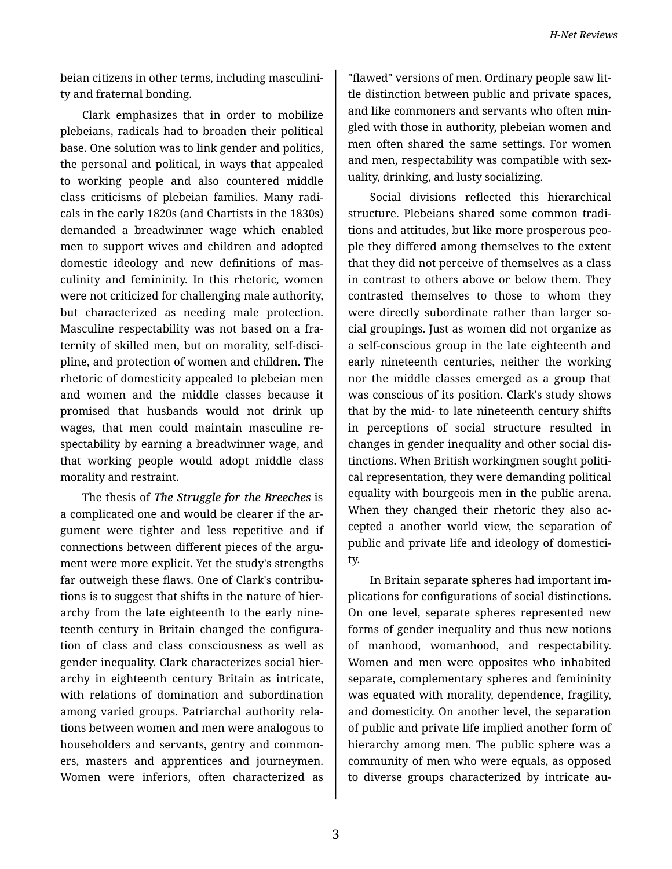*H-Net Reviews*

beian citizens in other terms, including masculini‐ ty and fraternal bonding.

Clark emphasizes that in order to mobilize plebeians, radicals had to broaden their political base. One solution was to link gender and politics, the personal and political, in ways that appealed to working people and also countered middle class criticisms of plebeian families. Many radi‐ cals in the early 1820s (and Chartists in the 1830s) demanded a breadwinner wage which enabled men to support wives and children and adopted domestic ideology and new definitions of mas‐ culinity and femininity. In this rhetoric, women were not criticized for challenging male authority, but characterized as needing male protection. Masculine respectability was not based on a fra‐ ternity of skilled men, but on morality, self-disci‐ pline, and protection of women and children. The rhetoric of domesticity appealed to plebeian men and women and the middle classes because it promised that husbands would not drink up wages, that men could maintain masculine re‐ spectability by earning a breadwinner wage, and that working people would adopt middle class morality and restraint.

The thesis of *The Struggle for the Breeches* is a complicated one and would be clearer if the ar‐ gument were tighter and less repetitive and if connections between different pieces of the argu‐ ment were more explicit. Yet the study's strengths far outweigh these flaws. One of Clark's contributions is to suggest that shifts in the nature of hier‐ archy from the late eighteenth to the early nine‐ teenth century in Britain changed the configura‐ tion of class and class consciousness as well as gender inequality. Clark characterizes social hier‐ archy in eighteenth century Britain as intricate, with relations of domination and subordination among varied groups. Patriarchal authority rela‐ tions between women and men were analogous to householders and servants, gentry and common‐ ers, masters and apprentices and journeymen. Women were inferiors, often characterized as

"flawed" versions of men. Ordinary people saw lit‐ tle distinction between public and private spaces, and like commoners and servants who often min‐ gled with those in authority, plebeian women and men often shared the same settings. For women and men, respectability was compatible with sex‐ uality, drinking, and lusty socializing.

Social divisions reflected this hierarchical structure. Plebeians shared some common tradi‐ tions and attitudes, but like more prosperous peo‐ ple they differed among themselves to the extent that they did not perceive of themselves as a class in contrast to others above or below them. They contrasted themselves to those to whom they were directly subordinate rather than larger social groupings. Just as women did not organize as a self-conscious group in the late eighteenth and early nineteenth centuries, neither the working nor the middle classes emerged as a group that was conscious of its position. Clark's study shows that by the mid- to late nineteenth century shifts in perceptions of social structure resulted in changes in gender inequality and other social dis‐ tinctions. When British workingmen sought politi‐ cal representation, they were demanding political equality with bourgeois men in the public arena. When they changed their rhetoric they also accepted a another world view, the separation of public and private life and ideology of domestici‐ ty.

In Britain separate spheres had important im‐ plications for configurations of social distinctions. On one level, separate spheres represented new forms of gender inequality and thus new notions of manhood, womanhood, and respectability. Women and men were opposites who inhabited separate, complementary spheres and femininity was equated with morality, dependence, fragility, and domesticity. On another level, the separation of public and private life implied another form of hierarchy among men. The public sphere was a community of men who were equals, as opposed to diverse groups characterized by intricate au‐

3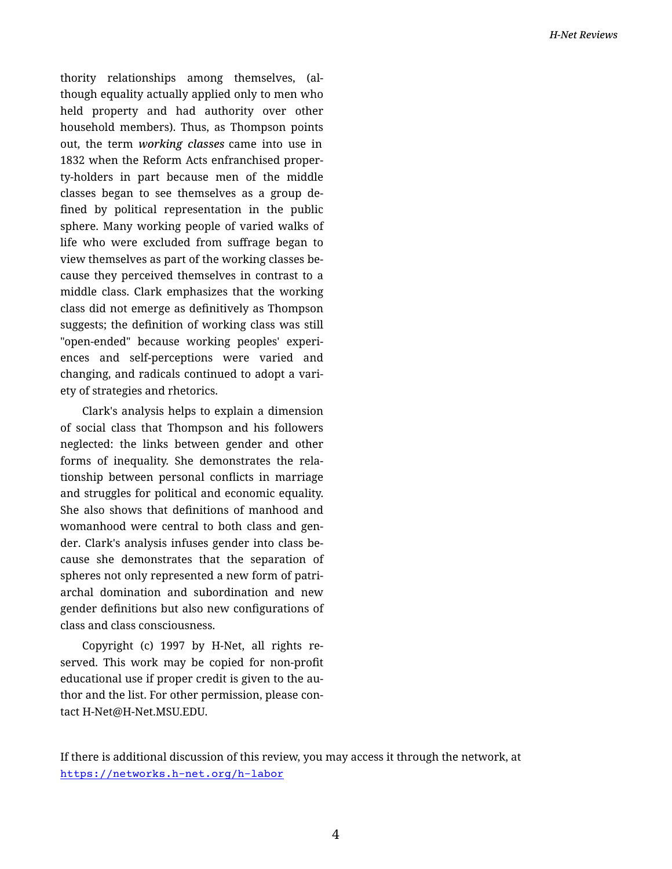thority relationships among themselves, (al‐ though equality actually applied only to men who held property and had authority over other household members). Thus, as Thompson points out, the term *working classes* came into use in 1832 when the Reform Acts enfranchised proper‐ ty-holders in part because men of the middle classes began to see themselves as a group de‐ fined by political representation in the public sphere. Many working people of varied walks of life who were excluded from suffrage began to view themselves as part of the working classes be‐ cause they perceived themselves in contrast to a middle class. Clark emphasizes that the working class did not emerge as definitively as Thompson suggests; the definition of working class was still "open-ended" because working peoples' experi‐ ences and self-perceptions were varied and changing, and radicals continued to adopt a vari‐ ety of strategies and rhetorics.

Clark's analysis helps to explain a dimension of social class that Thompson and his followers neglected: the links between gender and other forms of inequality. She demonstrates the rela‐ tionship between personal conflicts in marriage and struggles for political and economic equality. She also shows that definitions of manhood and womanhood were central to both class and gen‐ der. Clark's analysis infuses gender into class be‐ cause she demonstrates that the separation of spheres not only represented a new form of patri‐ archal domination and subordination and new gender definitions but also new configurations of class and class consciousness.

Copyright (c) 1997 by H-Net, all rights re‐ served. This work may be copied for non-profit educational use if proper credit is given to the au‐ thor and the list. For other permission, please con‐ tact H-Net@H-Net.MSU.EDU.

If there is additional discussion of this review, you may access it through the network, at <https://networks.h-net.org/h-labor>